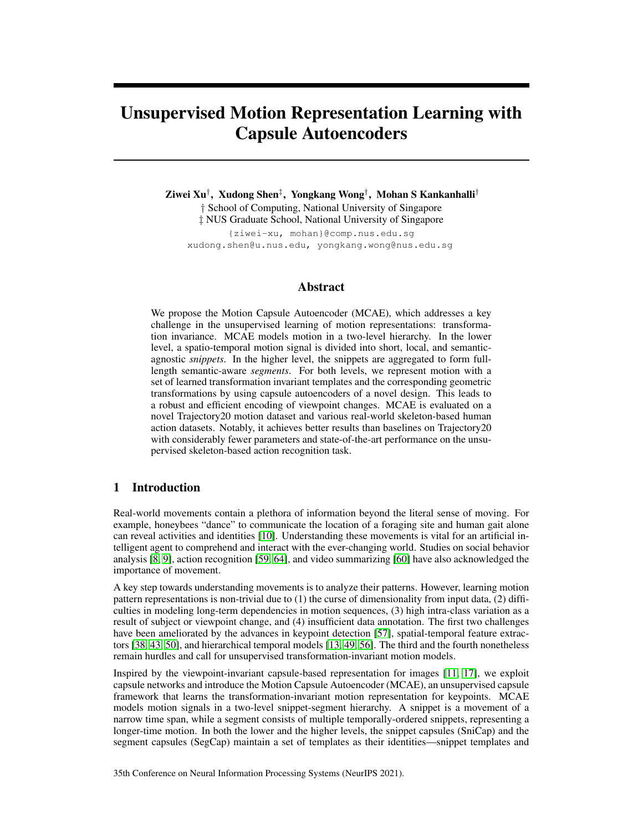# Unsupervised Motion Representation Learning with Capsule Autoencoders

Ziwei Xu† , Xudong Shen‡ , Yongkang Wong† , Mohan S Kankanhalli† † School of Computing, National University of Singapore ‡ NUS Graduate School, National University of Singapore

{ziwei-xu, mohan}@comp.nus.edu.sg xudong.shen@u.nus.edu, yongkang.wong@nus.edu.sg

### Abstract

We propose the Motion Capsule Autoencoder (MCAE), which addresses a key challenge in the unsupervised learning of motion representations: transformation invariance. MCAE models motion in a two-level hierarchy. In the lower level, a spatio-temporal motion signal is divided into short, local, and semanticagnostic *snippets*. In the higher level, the snippets are aggregated to form fulllength semantic-aware *segments*. For both levels, we represent motion with a set of learned transformation invariant templates and the corresponding geometric transformations by using capsule autoencoders of a novel design. This leads to a robust and efficient encoding of viewpoint changes. MCAE is evaluated on a novel Trajectory20 motion dataset and various real-world skeleton-based human action datasets. Notably, it achieves better results than baselines on Trajectory20 with considerably fewer parameters and state-of-the-art performance on the unsupervised skeleton-based action recognition task.

# 1 Introduction

Real-world movements contain a plethora of information beyond the literal sense of moving. For example, honeybees "dance" to communicate the location of a foraging site and human gait alone can reveal activities and identities [\[10\]](#page-10-0). Understanding these movements is vital for an artificial intelligent agent to comprehend and interact with the ever-changing world. Studies on social behavior analysis [\[8,](#page-9-0) [9\]](#page-10-1), action recognition [\[59,](#page-12-0) [64\]](#page-12-1), and video summarizing [\[60\]](#page-12-2) have also acknowledged the importance of movement.

A key step towards understanding movements is to analyze their patterns. However, learning motion pattern representations is non-trivial due to (1) the curse of dimensionality from input data, (2) difficulties in modeling long-term dependencies in motion sequences, (3) high intra-class variation as a result of subject or viewpoint change, and (4) insufficient data annotation. The first two challenges have been ameliorated by the advances in keypoint detection [\[57\]](#page-12-3), spatial-temporal feature extractors [\[38,](#page-11-0) [43,](#page-11-1) [50\]](#page-11-2), and hierarchical temporal models [\[13,](#page-10-2) [49,](#page-11-3) [56\]](#page-12-4). The third and the fourth nonetheless remain hurdles and call for unsupervised transformation-invariant motion models.

Inspired by the viewpoint-invariant capsule-based representation for images [\[11,](#page-10-3) [17\]](#page-10-4), we exploit capsule networks and introduce the Motion Capsule Autoencoder (MCAE), an unsupervised capsule framework that learns the transformation-invariant motion representation for keypoints. MCAE models motion signals in a two-level snippet-segment hierarchy. A snippet is a movement of a narrow time span, while a segment consists of multiple temporally-ordered snippets, representing a longer-time motion. In both the lower and the higher levels, the snippet capsules (SniCap) and the segment capsules (SegCap) maintain a set of templates as their identities—snippet templates and

35th Conference on Neural Information Processing Systems (NeurIPS 2021).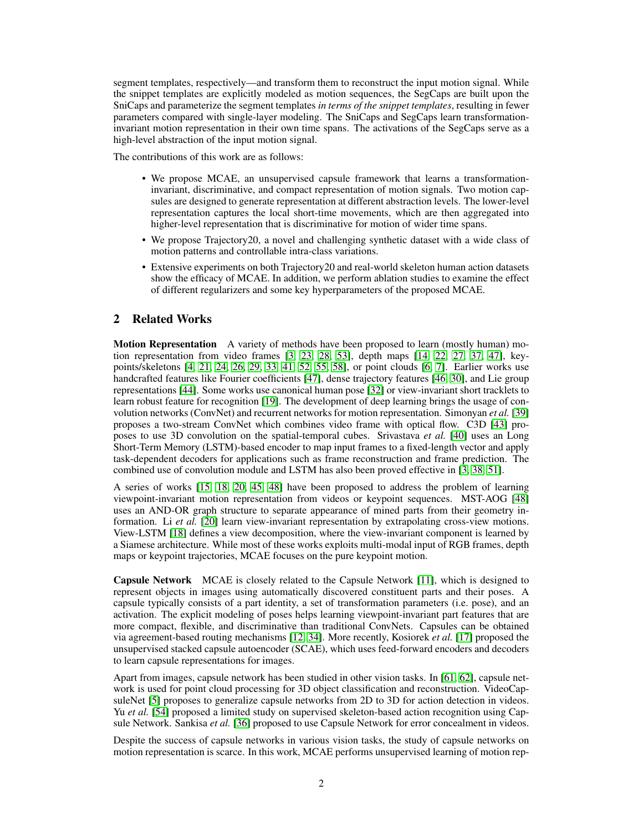segment templates, respectively—and transform them to reconstruct the input motion signal. While the snippet templates are explicitly modeled as motion sequences, the SegCaps are built upon the SniCaps and parameterize the segment templates *in terms of the snippet templates*, resulting in fewer parameters compared with single-layer modeling. The SniCaps and SegCaps learn transformationinvariant motion representation in their own time spans. The activations of the SegCaps serve as a high-level abstraction of the input motion signal.

The contributions of this work are as follows:

- We propose MCAE, an unsupervised capsule framework that learns a transformationinvariant, discriminative, and compact representation of motion signals. Two motion capsules are designed to generate representation at different abstraction levels. The lower-level representation captures the local short-time movements, which are then aggregated into higher-level representation that is discriminative for motion of wider time spans.
- We propose Trajectory20, a novel and challenging synthetic dataset with a wide class of motion patterns and controllable intra-class variations.
- Extensive experiments on both Trajectory20 and real-world skeleton human action datasets show the efficacy of MCAE. In addition, we perform ablation studies to examine the effect of different regularizers and some key hyperparameters of the proposed MCAE.

# 2 Related Works

Motion Representation A variety of methods have been proposed to learn (mostly human) motion representation from video frames [\[3,](#page-9-1) [23,](#page-10-5) [28,](#page-10-6) [53\]](#page-12-5), depth maps [\[14,](#page-10-7) [22,](#page-10-8) [27,](#page-10-9) [37,](#page-11-4) [47\]](#page-11-5), keypoints/skeletons [\[4,](#page-9-2) [21,](#page-10-10) [24,](#page-10-11) [26,](#page-10-12) [29,](#page-10-13) [33,](#page-11-6) [41,](#page-11-7) [52,](#page-11-8) [55,](#page-12-6) [58\]](#page-12-7), or point clouds [\[6,](#page-9-3) [7\]](#page-9-4). Earlier works use handcrafted features like Fourier coefficients [\[47\]](#page-11-5), dense trajectory features [\[46,](#page-11-9) [30\]](#page-10-14), and Lie group representations [\[44\]](#page-11-10). Some works use canonical human pose [\[32\]](#page-11-11) or view-invariant short tracklets to learn robust feature for recognition [\[19\]](#page-10-15). The development of deep learning brings the usage of convolution networks (ConvNet) and recurrent networks for motion representation. Simonyan *et al.* [\[39\]](#page-11-12) proposes a two-stream ConvNet which combines video frame with optical flow. C3D [\[43\]](#page-11-1) proposes to use 3D convolution on the spatial-temporal cubes. Srivastava *et al.* [\[40\]](#page-11-13) uses an Long Short-Term Memory (LSTM)-based encoder to map input frames to a fixed-length vector and apply task-dependent decoders for applications such as frame reconstruction and frame prediction. The combined use of convolution module and LSTM has also been proved effective in [\[3,](#page-9-1) [38,](#page-11-0) [51\]](#page-11-14).

A series of works [\[15,](#page-10-16) [18,](#page-10-17) [20,](#page-10-18) [45,](#page-11-15) [48\]](#page-11-16) have been proposed to address the problem of learning viewpoint-invariant motion representation from videos or keypoint sequences. MST-AOG [\[48\]](#page-11-16) uses an AND-OR graph structure to separate appearance of mined parts from their geometry information. Li *et al.* [\[20\]](#page-10-18) learn view-invariant representation by extrapolating cross-view motions. View-LSTM [\[18\]](#page-10-17) defines a view decomposition, where the view-invariant component is learned by a Siamese architecture. While most of these works exploits multi-modal input of RGB frames, depth maps or keypoint trajectories, MCAE focuses on the pure keypoint motion.

Capsule Network MCAE is closely related to the Capsule Network [\[11\]](#page-10-3), which is designed to represent objects in images using automatically discovered constituent parts and their poses. A capsule typically consists of a part identity, a set of transformation parameters (i.e. pose), and an activation. The explicit modeling of poses helps learning viewpoint-invariant part features that are more compact, flexible, and discriminative than traditional ConvNets. Capsules can be obtained via agreement-based routing mechanisms [\[12,](#page-10-19) [34\]](#page-11-17). More recently, Kosiorek *et al.* [\[17\]](#page-10-4) proposed the unsupervised stacked capsule autoencoder (SCAE), which uses feed-forward encoders and decoders to learn capsule representations for images.

Apart from images, capsule network has been studied in other vision tasks. In [\[61,](#page-12-8) [62\]](#page-12-9), capsule network is used for point cloud processing for 3D object classification and reconstruction. VideoCapsuleNet [\[5\]](#page-9-5) proposes to generalize capsule networks from 2D to 3D for action detection in videos. Yu *et al.* [\[54\]](#page-12-10) proposed a limited study on supervised skeleton-based action recognition using Capsule Network. Sankisa *et al.* [\[36\]](#page-11-18) proposed to use Capsule Network for error concealment in videos.

Despite the success of capsule networks in various vision tasks, the study of capsule networks on motion representation is scarce. In this work, MCAE performs unsupervised learning of motion rep-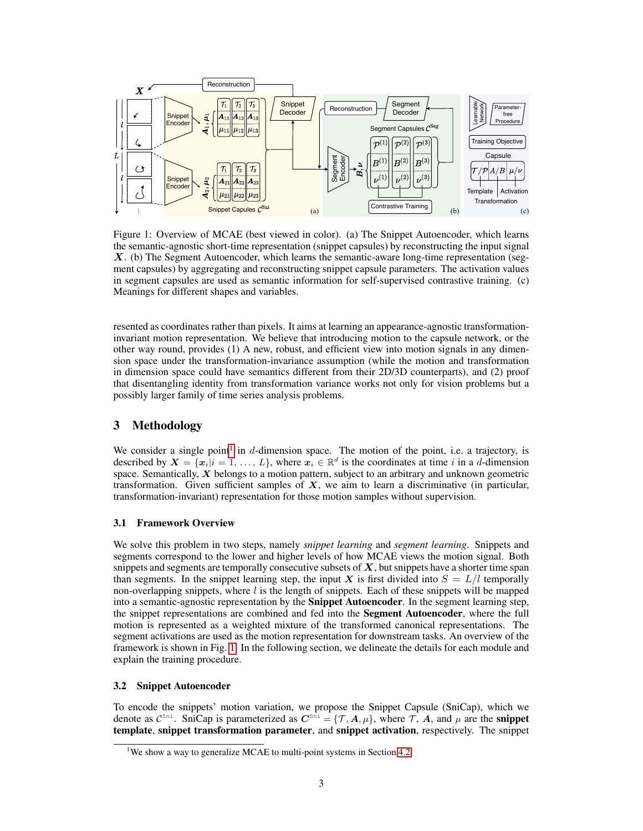<span id="page-2-1"></span>

Figure 1: Overview of MCAE (best viewed in color). (a) The Snippet Autoencoder, which learns the semantic-agnostic short-time representation (snippet capsules) by reconstructing the input signal X. (b) The Segment Autoencoder, which learns the semantic-aware long-time representation (segment capsules) by aggregating and reconstructing snippet capsule parameters. The activation values in segment capsules are used as semantic information for self-supervised contrastive training. (c) Meanings for different shapes and variables.

resented as coordinates rather than pixels. It aims at learning an appearance-agnostic transformationinvariant motion representation. We believe that introducing motion to the capsule network, or the other way round, provides (1) A new, robust, and efficient view into motion signals in any dimension space under the transformation-invariance assumption (while the motion and transformation in dimension space could have semantics different from their 2D/3D counterparts), and (2) proof that disentangling identity from transformation variance works not only for vision problems but a possibly larger family of time series analysis problems.

# 3 Methodology

We consider a single point<sup>[1](#page-2-0)</sup> in  $d$ -dimension space. The motion of the point, i.e. a trajectory, is described by  $X = \{x_i | i = 1, ..., L\}$ , where  $x_i \in \mathbb{R}^d$  is the coordinates at time i in a d-dimension space. Semantically, X belongs to a motion pattern, subject to an arbitrary and unknown geometric transformation. Given sufficient samples of  $X$ , we aim to learn a discriminative (in particular, transformation-invariant) representation for those motion samples without supervision.

#### 3.1 Framework Overview

We solve this problem in two steps, namely *snippet learning* and *segment learning*. Snippets and segments correspond to the lower and higher levels of how MCAE views the motion signal. Both snippets and segments are temporally consecutive subsets of  $X$ , but snippets have a shorter time span than segments. In the snippet learning step, the input X is first divided into  $S = L/l$  temporally non-overlapping snippets, where  $l$  is the length of snippets. Each of these snippets will be mapped into a semantic-agnostic representation by the Snippet Autoencoder. In the segment learning step, the snippet representations are combined and fed into the Segment Autoencoder, where the full motion is represented as a weighted mixture of the transformed canonical representations. The segment activations are used as the motion representation for downstream tasks. An overview of the framework is shown in Fig. [1.](#page-2-1) In the following section, we delineate the details for each module and explain the training procedure.

#### <span id="page-2-2"></span>3.2 Snippet Autoencoder

To encode the snippets' motion variation, we propose the Snippet Capsule (SniCap), which we denote as  $C^{Sni}$ . SniCap is parameterized as  $C^{Sni} = \{T, A, \mu\}$ , where T, A, and  $\mu$  are the **snippet** template, snippet transformation parameter, and snippet activation, respectively. The snippet

<span id="page-2-0"></span><sup>&</sup>lt;sup>1</sup>We show a way to generalize MCAE to multi-point systems in Section [4.2](#page-6-0)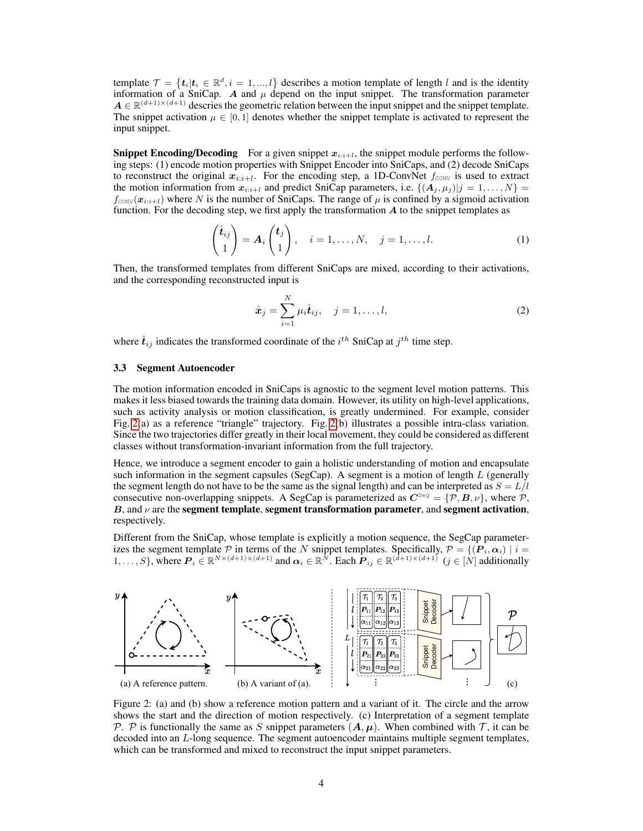template  $\mathcal{T} = \{t_i | t_i \in \mathbb{R}^d, i = 1, ..., l\}$  describes a motion template of length l and is the identity information of a SniCap. A and  $\mu$  depend on the input snippet. The transformation parameter  $A \in \mathbb{R}^{(d+1)\times(d+1)}$  descries the geometric relation between the input snippet and the snippet template. The snippet activation  $\mu \in [0, 1]$  denotes whether the snippet template is activated to represent the input snippet.

**Snippet Encoding/Decoding** For a given snippet  $x_{i:i+1}$ , the snippet module performs the following steps: (1) encode motion properties with Snippet Encoder into SniCaps, and (2) decode SniCaps to reconstruct the original  $x_{i:i+l}$ . For the encoding step, a 1D-ConvNet  $f_{\text{conv}}$  is used to extract the motion information from  $x_{i:i+l}$  and predict SniCap parameters, i.e.  $\{(A_i, \mu_i)|j = 1, \ldots, N\}$  $f_{\text{conv}}(\boldsymbol{x}_{i:i+l})$  where N is the number of SniCaps. The range of  $\mu$  is confined by a sigmoid activation function. For the decoding step, we first apply the transformation  $A$  to the snippet templates as

$$
\begin{pmatrix} \hat{\boldsymbol{t}}_{ij} \\ 1 \end{pmatrix} = \boldsymbol{A}_i \begin{pmatrix} \boldsymbol{t}_j \\ 1 \end{pmatrix}, \quad i = 1, \dots, N, \quad j = 1, \dots, l. \tag{1}
$$

Then, the transformed templates from different SniCaps are mixed, according to their activations, and the corresponding reconstructed input is

<span id="page-3-2"></span>
$$
\hat{\boldsymbol{x}}_j = \sum_{i=1}^N \mu_i \hat{\boldsymbol{t}}_{ij}, \quad j = 1, \dots, l,
$$
\n(2)

where  $\hat{t}_{ij}$  indicates the transformed coordinate of the  $i^{th}$  SniCap at  $j^{th}$  time step.

#### <span id="page-3-1"></span>3.3 Segment Autoencoder

The motion information encoded in SniCaps is agnostic to the segment level motion patterns. This makes it less biased towards the training data domain. However, its utility on high-level applications, such as activity analysis or motion classification, is greatly undermined. For example, consider Fig. [2\(](#page-3-0)a) as a reference "triangle" trajectory. Fig. [2\(](#page-3-0)b) illustrates a possible intra-class variation. Since the two trajectories differ greatly in their local movement, they could be considered as different classes without transformation-invariant information from the full trajectory.

Hence, we introduce a segment encoder to gain a holistic understanding of motion and encapsulate such information in the segment capsules (SegCap). A segment is a motion of length  $L$  (generally the segment length do not have to be the same as the signal length) and can be interpreted as  $S = L/l$ consecutive non-overlapping snippets. A SegCap is parameterized as  $C^{\text{seg}} = \{P, B, \nu\}$ , where P, B, and  $\nu$  are the segment template, segment transformation parameter, and segment activation, respectively.

Different from the SniCap, whose template is explicitly a motion sequence, the SegCap parameterizes the segment template P in terms of the N snippet templates. Specifically,  $P = \{(\mathbf{P}_i, \alpha_i) | i =$ 1, ..., S}, where  $P_i \in \mathbb{R}^{N \times (d+1) \times (d+1)}$  and  $\alpha_i \in \mathbb{R}^{N}$ . Each  $P_{ij} \in \mathbb{R}^{(\tilde{d}+1) \times (d+1)}$   $(j \in [N]$  additionally

<span id="page-3-0"></span>

Figure 2: (a) and (b) show a reference motion pattern and a variant of it. The circle and the arrow shows the start and the direction of motion respectively. (c) Interpretation of a segment template P. P is functionally the same as S snippet parameters  $(A, \mu)$ . When combined with T, it can be decoded into an L-long sequence. The segment autoencoder maintains multiple segment templates, which can be transformed and mixed to reconstruct the input snippet parameters.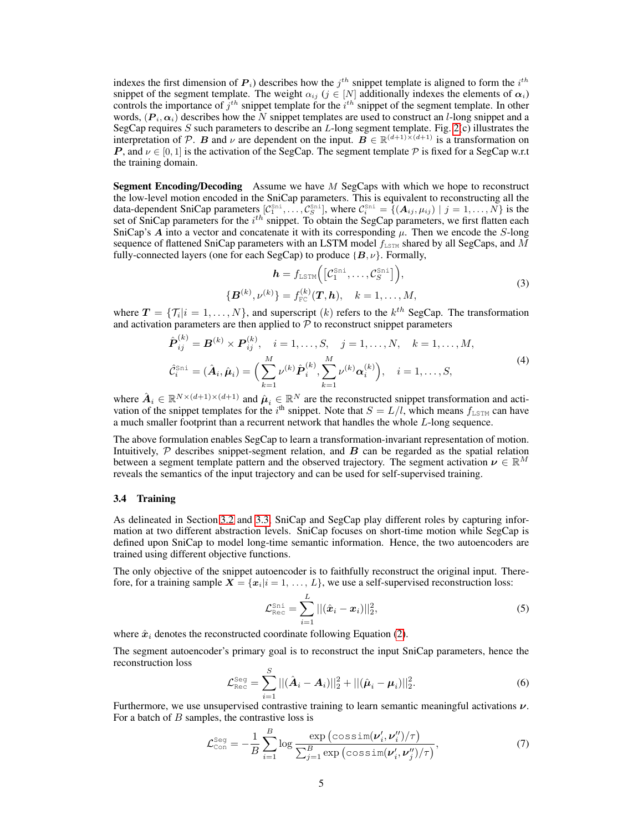indexes the first dimension of  $P_i$ ) describes how the  $j^{th}$  snippet template is aligned to form the  $i^{th}$ snippet of the segment template. The weight  $\alpha_{ij}$  ( $j \in [N]$  additionally indexes the elements of  $\alpha_i$ ) controls the importance of  $j<sup>th</sup>$  snippet template for the  $i<sup>th</sup>$  snippet of the segment template. In other words,  $(P_i, \alpha_i)$  describes how the N snippet templates are used to construct an l-long snippet and a SegCap requires S such parameters to describe an  $L$ -long segment template. Fig. [2\(](#page-3-0)c) illustrates the interpretation of P. B and  $\nu$  are dependent on the input.  $B \in \mathbb{R}^{(d+1)\times(d+1)}$  is a transformation on P, and  $\nu \in [0, 1]$  is the activation of the SegCap. The segment template  $\mathcal P$  is fixed for a SegCap w.r.t the training domain.

Segment Encoding/Decoding Assume we have M SegCaps with which we hope to reconstruct the low-level motion encoded in the SniCap parameters. This is equivalent to reconstructing all the data-dependent SniCap parameters  $[\mathcal{C}_1^{\text{Sni}}, \dots, \mathcal{C}_S^{\text{Sni}}]$ , where  $\mathcal{C}_i^{\text{Sni}} = \{(\mathbf{A}_{ij}, \mu_{ij}) \mid j = 1, \dots, N\}$  is the set of SniCap parameters for the  $i^{th}$  snippet. To obtain the SegCap parameters, we first flatten each SniCap's A into a vector and concatenate it with its corresponding  $\mu$ . Then we encode the S-long sequence of flattened SniCap parameters with an LSTM model  $f_{\text{LSTM}}$  shared by all SegCaps, and M fully-connected layers (one for each SegCap) to produce  $\{B, \nu\}$ . Formally,

$$
\mathbf{h} = f_{\text{LSTM}}\Big(\big[\mathcal{C}_1^{\text{Sni}}, \dots, \mathcal{C}_S^{\text{Sni}}\big]\Big),
$$
  

$$
\{\mathbf{B}^{(k)}, \nu^{(k)}\} = f_{\text{FC}}^{(k)}(\mathbf{T}, \mathbf{h}), \quad k = 1, \dots, M,
$$
 (3)

where  $T = \{T_i | i = 1, ..., N\}$ , and superscript  $(k)$  refers to the  $k^{th}$  SegCap. The transformation and activation parameters are then applied to  $P$  to reconstruct snippet parameters

$$
\hat{\boldsymbol{P}}_{ij}^{(k)} = \boldsymbol{B}^{(k)} \times \boldsymbol{P}_{ij}^{(k)}, \quad i = 1, ..., S, \quad j = 1, ..., N, \quad k = 1, ..., M,
$$
\n
$$
\hat{\mathcal{C}}_i^{\text{Sni}} = (\hat{\boldsymbol{A}}_i, \hat{\boldsymbol{\mu}}_i) = \Big(\sum_{k=1}^M \nu^{(k)} \hat{\boldsymbol{P}}_i^{(k)}, \sum_{k=1}^M \nu^{(k)} \alpha_i^{(k)}\Big), \quad i = 1, ..., S,
$$
\n(4)

where  $\hat{A}_i \in \mathbb{R}^{N \times (d+1) \times (d+1)}$  and  $\hat{\mu}_i \in \mathbb{R}^N$  are the reconstructed snippet transformation and activation of the snippet templates for the i<sup>th</sup> snippet. Note that  $S = L/l$ , which means  $f_{\text{LSTM}}$  can have a much smaller footprint than a recurrent network that handles the whole L-long sequence.

The above formulation enables SegCap to learn a transformation-invariant representation of motion. Intuitively,  $P$  describes snippet-segment relation, and  $B$  can be regarded as the spatial relation between a segment template pattern and the observed trajectory. The segment activation  $\nu \in \mathbb{R}^M$ reveals the semantics of the input trajectory and can be used for self-supervised training.

#### 3.4 Training

As delineated in Section [3.2](#page-2-2) and [3.3,](#page-3-1) SniCap and SegCap play different roles by capturing information at two different abstraction levels. SniCap focuses on short-time motion while SegCap is defined upon SniCap to model long-time semantic information. Hence, the two autoencoders are trained using different objective functions.

The only objective of the snippet autoencoder is to faithfully reconstruct the original input. Therefore, for a training sample  $X = \{x_i | i = 1, ..., L\}$ , we use a self-supervised reconstruction loss:

$$
\mathcal{L}_{\text{Rec}}^{\text{Sni}} = \sum_{i=1}^{L} ||(\hat{x}_i - x_i)||_2^2, \tag{5}
$$

where  $\hat{x}_i$  denotes the reconstructed coordinate following Equation [\(2\)](#page-3-2).

The segment autoencoder's primary goal is to reconstruct the input SniCap parameters, hence the reconstruction loss

$$
\mathcal{L}_{\text{Rec}}^{\text{Seg}} = \sum_{i=1}^{S} ||(\hat{\boldsymbol{A}}_i - \boldsymbol{A}_i)||_2^2 + ||(\hat{\boldsymbol{\mu}}_i - \boldsymbol{\mu}_i)||_2^2.
$$
 (6)

Furthermore, we use unsupervised contrastive training to learn semantic meaningful activations  $\nu$ . For a batch of  $B$  samples, the contrastive loss is

<span id="page-4-0"></span>
$$
\mathcal{L}_{\text{Con}}^{\text{Seg}} = -\frac{1}{B} \sum_{i=1}^{B} \log \frac{\exp\left(\cos \sin(\nu_i', \nu_i'')/\tau\right)}{\sum_{j=1}^{B} \exp\left(\cos \sin(\nu_i', \nu_j'')/\tau\right)},\tag{7}
$$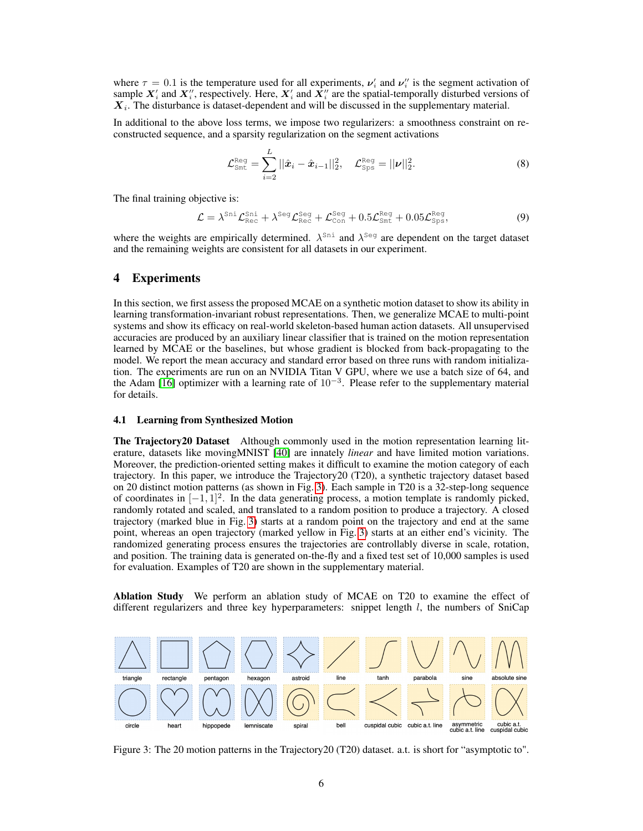where  $\tau = 0.1$  is the temperature used for all experiments,  $v_i$  and  $v_i$  is the segment activation of sample  $X'_i$  and  $X''_i$ , respectively. Here,  $X'_i$  and  $X''_i$  are the spatial-temporally disturbed versions of  $X_i$ . The disturbance is dataset-dependent and will be discussed in the supplementary material.

In additional to the above loss terms, we impose two regularizers: a smoothness constraint on reconstructed sequence, and a sparsity regularization on the segment activations

$$
\mathcal{L}_{\text{Smt}}^{\text{Reg}} = \sum_{i=2}^{L} ||\hat{\boldsymbol{x}}_i - \hat{\boldsymbol{x}}_{i-1}||_2^2, \quad \mathcal{L}_{\text{Sps}}^{\text{Reg}} = ||\boldsymbol{\nu}||_2^2.
$$
 (8)

The final training objective is:

<span id="page-5-1"></span>
$$
\mathcal{L} = \lambda^{\text{Sni}} \mathcal{L}_{\text{Rec}}^{\text{Sni}} + \lambda^{\text{Seg}} \mathcal{L}_{\text{Rec}}^{\text{Seg}} + \mathcal{L}_{\text{Con}}^{\text{Seg}} + 0.5 \mathcal{L}_{\text{Smt}}^{\text{Reg}} + 0.05 \mathcal{L}_{\text{Sps}}^{\text{Reg}},\tag{9}
$$

where the weights are empirically determined.  $\lambda^{Sni}$  and  $\lambda^{Seq}$  are dependent on the target dataset and the remaining weights are consistent for all datasets in our experiment.

## 4 Experiments

In this section, we first assess the proposed MCAE on a synthetic motion dataset to show its ability in learning transformation-invariant robust representations. Then, we generalize MCAE to multi-point systems and show its efficacy on real-world skeleton-based human action datasets. All unsupervised accuracies are produced by an auxiliary linear classifier that is trained on the motion representation learned by MCAE or the baselines, but whose gradient is blocked from back-propagating to the model. We report the mean accuracy and standard error based on three runs with random initialization. The experiments are run on an NVIDIA Titan V GPU, where we use a batch size of 64, and the Adam [\[16\]](#page-10-20) optimizer with a learning rate of  $10^{-3}$ . Please refer to the supplementary material for details.

#### 4.1 Learning from Synthesized Motion

The Trajectory20 Dataset Although commonly used in the motion representation learning literature, datasets like movingMNIST [\[40\]](#page-11-13) are innately *linear* and have limited motion variations. Moreover, the prediction-oriented setting makes it difficult to examine the motion category of each trajectory. In this paper, we introduce the Trajectory20 (T20), a synthetic trajectory dataset based on 20 distinct motion patterns (as shown in Fig. [3\)](#page-5-0). Each sample in T20 is a 32-step-long sequence of coordinates in  $[-1, 1]^2$ . In the data generating process, a motion template is randomly picked, randomly rotated and scaled, and translated to a random position to produce a trajectory. A closed trajectory (marked blue in Fig. [3\)](#page-5-0) starts at a random point on the trajectory and end at the same point, whereas an open trajectory (marked yellow in Fig. [3\)](#page-5-0) starts at an either end's vicinity. The randomized generating process ensures the trajectories are controllably diverse in scale, rotation, and position. The training data is generated on-the-fly and a fixed test set of 10,000 samples is used for evaluation. Examples of T20 are shown in the supplementary material.

Ablation Study We perform an ablation study of MCAE on T20 to examine the effect of different regularizers and three key hyperparameters: snippet length  $l$ , the numbers of SniCap

<span id="page-5-0"></span>

Figure 3: The 20 motion patterns in the Trajectory20 (T20) dataset. a.t. is short for "asymptotic to".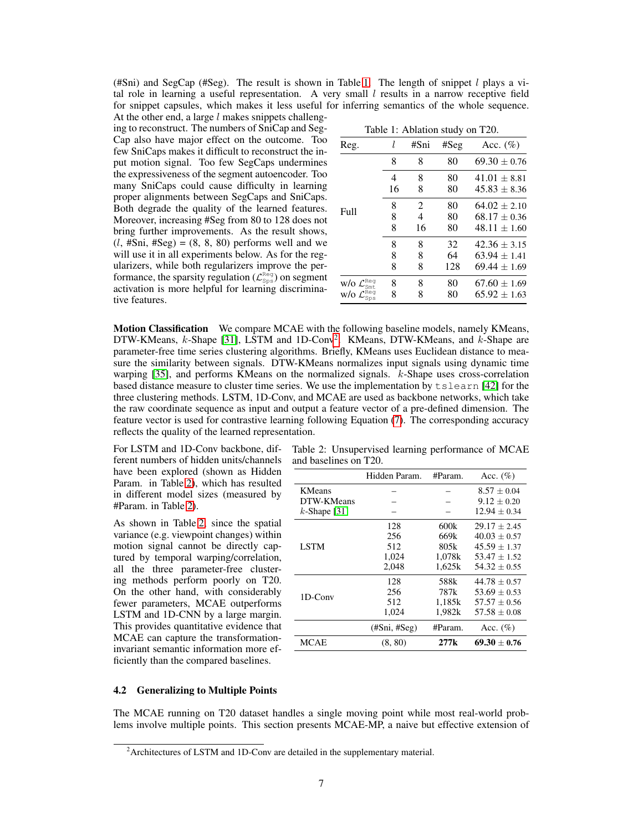(#Sni) and SegCap (#Seg). The result is shown in Table [1.](#page-6-1) The length of snippet  $l$  plays a vital role in learning a useful representation. A very small  $l$  results in a narrow receptive field for snippet capsules, which makes it less useful for inferring semantics of the whole sequence.

At the other end, a large  $l$  makes snippets challenging to reconstruct. The numbers of SniCap and Seg-Cap also have major effect on the outcome. Too few SniCaps makes it difficult to reconstruct the input motion signal. Too few SegCaps undermines the expressiveness of the segment autoencoder. Too many SniCaps could cause difficulty in learning proper alignments between SegCaps and SniCaps. Both degrade the quality of the learned features. Moreover, increasing #Seg from 80 to 128 does not bring further improvements. As the result shows,  $(l, #Sni, #Seg) = (8, 8, 80)$  performs well and we will use it in all experiments below. As for the regularizers, while both regularizers improve the performance, the sparsity regulation ( $\mathcal{L}_{\text{Sps}}^{\text{Reg}}$ ) on segment activation is more helpful for learning discriminative features.

|  | Table 1: Ablation study on T20. |  |  |
|--|---------------------------------|--|--|
|--|---------------------------------|--|--|

<span id="page-6-1"></span>

| Reg.                                            |    | #Sni           | #Seg | Acc. $(\% )$     |
|-------------------------------------------------|----|----------------|------|------------------|
|                                                 | 8  | 8              | 80   | $69.30 \pm 0.76$ |
|                                                 | 4  | 8              | 80   | $41.01 \pm 8.81$ |
| Full                                            | 16 | 8              | 80   | $45.83 + 8.36$   |
|                                                 | 8  | $\overline{2}$ | 80   | $64.02 \pm 2.10$ |
|                                                 | 8  | 4              | 80   | $68.17 \pm 0.36$ |
|                                                 | 8  | 16             | 80   | $48.11 + 1.60$   |
|                                                 | 8  | 8              | 32   | $42.36 + 3.15$   |
|                                                 | 8  | 8              | 64   | $63.94 \pm 1.41$ |
|                                                 | 8  | 8              | 128  | $69.44 \pm 1.69$ |
| w/o $\mathcal{L}^{\texttt{Reg}}_{\texttt{Smt}}$ | 8  | 8              | 80   | $67.60 \pm 1.69$ |
| w/o $\mathcal{L}^{\texttt{Reg}}_{\texttt{Sps}}$ | 8  | 8              | 80   | $65.92 \pm 1.63$ |
|                                                 |    |                |      |                  |

Motion Classification We compare MCAE with the following baseline models, namely KMeans, DTW-KMeans,  $k$ -Shape [\[31\]](#page-11-19), LSTM and 1D-Conv<sup>[2](#page-6-2)</sup>. KMeans, DTW-KMeans, and  $k$ -Shape are parameter-free time series clustering algorithms. Briefly, KMeans uses Euclidean distance to measure the similarity between signals. DTW-KMeans normalizes input signals using dynamic time warping [\[35\]](#page-11-20), and performs KMeans on the normalized signals. k-Shape uses cross-correlation based distance measure to cluster time series. We use the implementation by tslearn [\[42\]](#page-11-21) for the three clustering methods. LSTM, 1D-Conv, and MCAE are used as backbone networks, which take the raw coordinate sequence as input and output a feature vector of a pre-defined dimension. The feature vector is used for contrastive learning following Equation [\(7\)](#page-4-0). The corresponding accuracy reflects the quality of the learned representation.

For LSTM and 1D-Conv backbone, different numbers of hidden units/channels have been explored (shown as Hidden Param. in Table [2\)](#page-6-3), which has resulted in different model sizes (measured by #Param. in Table [2\)](#page-6-3).

As shown in Table [2,](#page-6-3) since the spatial variance (e.g. viewpoint changes) within motion signal cannot be directly captured by temporal warping/correlation, all the three parameter-free clustering methods perform poorly on T20. On the other hand, with considerably fewer parameters, MCAE outperforms LSTM and 1D-CNN by a large margin. This provides quantitative evidence that MCAE can capture the transformationinvariant semantic information more efficiently than the compared baselines.

<span id="page-6-3"></span>Table 2: Unsupervised learning performance of MCAE and baselines on T20.

|                 | Hidden Param. | #Param.          | Acc. $(\% )$     |
|-----------------|---------------|------------------|------------------|
| KMeans          |               |                  | $8.57 \pm 0.04$  |
| DTW-KMeans      |               |                  | $9.12 \pm 0.20$  |
| $k$ -Shape [31] |               |                  | $12.94 \pm 0.34$ |
|                 | 128           | 600k             | $29.17 \pm 2.45$ |
|                 | 256           | 669k             | $40.03 \pm 0.57$ |
| <b>LSTM</b>     | 512           | 805k             | $45.59 + 1.37$   |
|                 | 1,024         | 1.078k           | $53.47 \pm 1.52$ |
|                 | 2,048         | 1,625k           | $54.32 + 0.55$   |
|                 | 128           | 588k             | $44.78 + 0.57$   |
| 1D-Conv         | 256           | 787 <sub>k</sub> | $53.69 \pm 0.53$ |
|                 | 512           | 1.185k           | $57.57 \pm 0.56$ |
|                 | 1.024         | 1,982k           | $57.58 \pm 0.08$ |
|                 | (HSni, HSeg)  | #Param.          | Acc. $(\% )$     |
| MCAE            | (8, 80)       | 277k             | $69.30 + 0.76$   |

#### <span id="page-6-0"></span>4.2 Generalizing to Multiple Points

The MCAE running on T20 dataset handles a single moving point while most real-world problems involve multiple points. This section presents MCAE-MP, a naive but effective extension of

<span id="page-6-2"></span><sup>&</sup>lt;sup>2</sup> Architectures of LSTM and 1D-Conv are detailed in the supplementary material.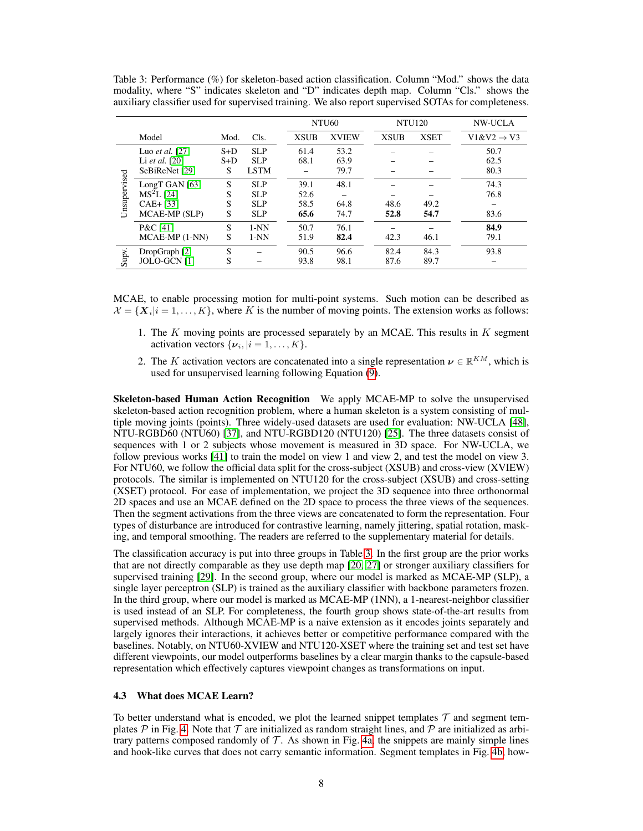|              |                        |       |             |             | NTU <sub>60</sub> |             | <b>NTU120</b> | <b>NW-UCLA</b>         |  |  |
|--------------|------------------------|-------|-------------|-------------|-------------------|-------------|---------------|------------------------|--|--|
|              | Model                  | Mod.  | Cls.        | <b>XSUB</b> | <b>XVIEW</b>      | <b>XSUB</b> | <b>XSET</b>   | $V1&V2 \rightarrow V3$ |  |  |
|              | Luo et al. $[27]$      | $S+D$ | <b>SLP</b>  | 61.4        | 53.2              |             |               | 50.7                   |  |  |
|              | Li et al. $[20]$       | $S+D$ | <b>SLP</b>  | 68.1        | 63.9              |             |               | 62.5                   |  |  |
|              | SeBiReNet [29]         | S     | <b>LSTM</b> |             | 79.7              |             |               | 80.3                   |  |  |
| Unsupervised | LongT GAN $[63]$       | S     | <b>SLP</b>  | 39.1        | 48.1              |             |               | 74.3                   |  |  |
|              | MS <sup>2</sup> L [24] | S     | <b>SLP</b>  | 52.6        |                   |             |               | 76.8                   |  |  |
|              | $CAE + [33]$           | S     | <b>SLP</b>  | 58.5        | 64.8              | 48.6        | 49.2          |                        |  |  |
|              | MCAE-MP (SLP)          | S     | <b>SLP</b>  | 65.6        | 74.7              | 52.8        | 54.7          | 83.6                   |  |  |
|              | P&C [41]               | S     | $1-NN$      | 50.7        | 76.1              |             |               | 84.9                   |  |  |
|              | $MCAE-MP (1-NN)$       | S     | $1-NN$      | 51.9        | 82.4              | 42.3        | 46.1          | 79.1                   |  |  |
|              | DropGraph [2]          | S     |             | 90.5        | 96.6              | 82.4        | 84.3          | 93.8                   |  |  |
| Supv.        | JOLO-GCN [1]           | S     |             | 93.8        | 98.1              | 87.6        | 89.7          |                        |  |  |

<span id="page-7-0"></span>Table 3: Performance (%) for skeleton-based action classification. Column "Mod." shows the data modality, where "S" indicates skeleton and "D" indicates depth map. Column "Cls." shows the auxiliary classifier used for supervised training. We also report supervised SOTAs for completeness.

MCAE, to enable processing motion for multi-point systems. Such motion can be described as  $\mathcal{X} = \{X_i | i = 1, \ldots, K\}$ , where K is the number of moving points. The extension works as follows:

- 1. The K moving points are processed separately by an MCAE. This results in  $K$  segment activation vectors  $\{\boldsymbol{\nu}_i, | i = 1, \dots, K\}.$
- 2. The K activation vectors are concatenated into a single representation  $\nu \in \mathbb{R}^{KM}$ , which is used for unsupervised learning following Equation [\(9\)](#page-5-1).

Skeleton-based Human Action Recognition We apply MCAE-MP to solve the unsupervised skeleton-based action recognition problem, where a human skeleton is a system consisting of multiple moving joints (points). Three widely-used datasets are used for evaluation: NW-UCLA [\[48\]](#page-11-16), NTU-RGBD60 (NTU60) [\[37\]](#page-11-4), and NTU-RGBD120 (NTU120) [\[25\]](#page-10-21). The three datasets consist of sequences with 1 or 2 subjects whose movement is measured in 3D space. For NW-UCLA, we follow previous works [\[41\]](#page-11-7) to train the model on view 1 and view 2, and test the model on view 3. For NTU60, we follow the official data split for the cross-subject (XSUB) and cross-view (XVIEW) protocols. The similar is implemented on NTU120 for the cross-subject (XSUB) and cross-setting (XSET) protocol. For ease of implementation, we project the 3D sequence into three orthonormal 2D spaces and use an MCAE defined on the 2D space to process the three views of the sequences. Then the segment activations from the three views are concatenated to form the representation. Four types of disturbance are introduced for contrastive learning, namely jittering, spatial rotation, masking, and temporal smoothing. The readers are referred to the supplementary material for details.

The classification accuracy is put into three groups in Table [3.](#page-7-0) In the first group are the prior works that are not directly comparable as they use depth map [\[20,](#page-10-18) [27\]](#page-10-9) or stronger auxiliary classifiers for supervised training [\[29\]](#page-10-13). In the second group, where our model is marked as MCAE-MP (SLP), a single layer perceptron (SLP) is trained as the auxiliary classifier with backbone parameters frozen. In the third group, where our model is marked as MCAE-MP (1NN), a 1-nearest-neighbor classifier is used instead of an SLP. For completeness, the fourth group shows state-of-the-art results from supervised methods. Although MCAE-MP is a naive extension as it encodes joints separately and largely ignores their interactions, it achieves better or competitive performance compared with the baselines. Notably, on NTU60-XVIEW and NTU120-XSET where the training set and test set have different viewpoints, our model outperforms baselines by a clear margin thanks to the capsule-based representation which effectively captures viewpoint changes as transformations on input.

#### 4.3 What does MCAE Learn?

To better understand what is encoded, we plot the learned snippet templates  $\mathcal T$  and segment templates  $\mathcal P$  in Fig. [4.](#page-8-0) Note that  $\mathcal T$  are initialized as random straight lines, and  $\mathcal P$  are initialized as arbitrary patterns composed randomly of  $T$ . As shown in Fig. [4a,](#page-8-0) the snippets are mainly simple lines and hook-like curves that does not carry semantic information. Segment templates in Fig. [4b,](#page-8-0) how-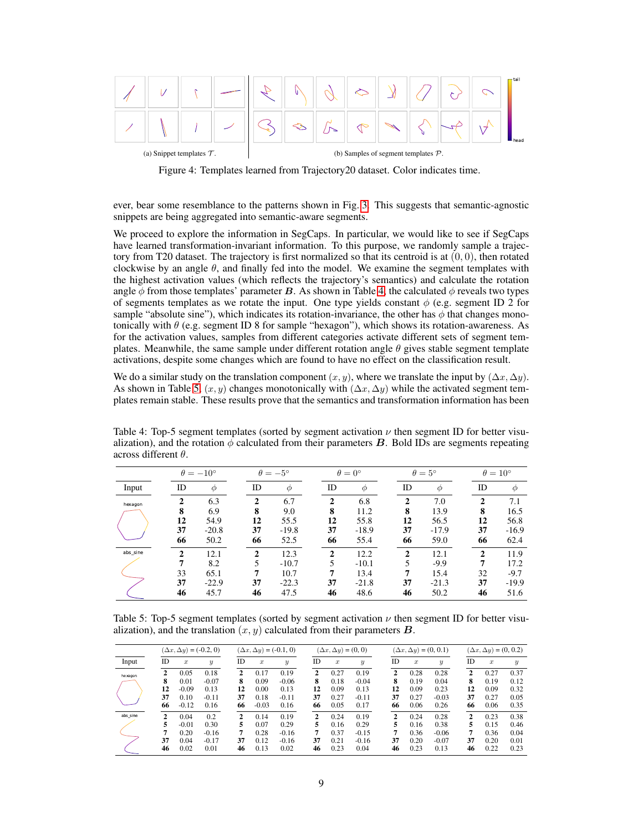<span id="page-8-0"></span>

Figure 4: Templates learned from Trajectory20 dataset. Color indicates time.

ever, bear some resemblance to the patterns shown in Fig. [3.](#page-5-0) This suggests that semantic-agnostic snippets are being aggregated into semantic-aware segments.

We proceed to explore the information in SegCaps. In particular, we would like to see if SegCaps have learned transformation-invariant information. To this purpose, we randomly sample a trajectory from T20 dataset. The trajectory is first normalized so that its centroid is at  $(0, 0)$ , then rotated clockwise by an angle  $\theta$ , and finally fed into the model. We examine the segment templates with the highest activation values (which reflects the trajectory's semantics) and calculate the rotation angle  $\phi$  from those templates' parameter B. As shown in Table [4,](#page-8-1) the calculated  $\phi$  reveals two types of segments templates as we rotate the input. One type yields constant  $\phi$  (e.g. segment ID 2 for sample "absolute sine"), which indicates its rotation-invariance, the other has  $\phi$  that changes monotonically with  $\theta$  (e.g. segment ID 8 for sample "hexagon"), which shows its rotation-awareness. As for the activation values, samples from different categories activate different sets of segment templates. Meanwhile, the same sample under different rotation angle  $\theta$  gives stable segment template activations, despite some changes which are found to have no effect on the classification result.

We do a similar study on the translation component  $(x, y)$ , where we translate the input by  $(\Delta x, \Delta y)$ . As shown in Table [5,](#page-8-2)  $(x, y)$  changes monotonically with  $(\Delta x, \Delta y)$  while the activated segment templates remain stable. These results prove that the semantics and transformation information has been

<span id="page-8-1"></span>Table 4: Top-5 segment templates (sorted by segment activation  $\nu$  then segment ID for better visualization), and the rotation  $\phi$  calculated from their parameters **B**. Bold IDs are segments repeating across different θ.

|          | $\theta = -10^{\circ}$                |                                        |                                     | $\theta = -5^{\circ}$                      |                                     | $\theta = 0^{\circ}$                       |                                     | $\theta = 5^{\circ}$                      |                                      | $\theta = 10^{\circ}$                     |  |  |
|----------|---------------------------------------|----------------------------------------|-------------------------------------|--------------------------------------------|-------------------------------------|--------------------------------------------|-------------------------------------|-------------------------------------------|--------------------------------------|-------------------------------------------|--|--|
| Input    | ID                                    | Φ                                      | ID                                  | $\phi$                                     | ID                                  | $\phi$                                     | ID                                  | Φ                                         | ID                                   | Φ                                         |  |  |
| hexagon  | $\mathbf{2}$<br>8<br>12<br>37<br>66   | 6.3<br>6.9<br>54.9<br>$-20.8$<br>50.2  | $\mathbf{2}$<br>8<br>12<br>37<br>66 | 6.7<br>9.0<br>55.5<br>$-19.8$<br>52.5      | $\mathbf{2}$<br>8<br>12<br>37<br>66 | 6.8<br>11.2<br>55.8<br>$-18.9$<br>55.4     | $\mathbf{2}$<br>8<br>12<br>37<br>66 | 7.0<br>13.9<br>56.5<br>$-17.9$<br>59.0    | $\mathbf{2}$<br>8<br>12<br>37<br>66  | 7.1<br>16.5<br>56.8<br>$-16.9$<br>62.4    |  |  |
| abs sine | $\overline{2}$<br>7<br>33<br>37<br>46 | 12.1<br>8.2<br>65.1<br>$-22.9$<br>45.7 | $\mathbf{2}$<br>5<br>7<br>37<br>46  | 12.3<br>$-10.7$<br>10.7<br>$-22.3$<br>47.5 | $\mathbf{2}$<br>5<br>7<br>37<br>46  | 12.2<br>$-10.1$<br>13.4<br>$-21.8$<br>48.6 | $\mathbf{2}$<br>37<br>46            | 12.1<br>$-9.9$<br>15.4<br>$-21.3$<br>50.2 | $\mathcal{D}$<br>7<br>32<br>37<br>46 | 11.9<br>17.2<br>$-9.7$<br>$-19.9$<br>51.6 |  |  |

<span id="page-8-2"></span>Table 5: Top-5 segment templates (sorted by segment activation  $\nu$  then segment ID for better visualization), and the translation  $(x, y)$  calculated from their parameters  $\bf{B}$ .

|          | $(\Delta x, \Delta y) = (-0.2, 0)$ |                  |                  | $(\Delta x, \Delta y) = (-0.1, 0)$ |         |                  |              | $(\Delta x, \Delta y) = (0, 0)$ |                  |    | $(\Delta x, \Delta y) = (0, 0.1)$ |                  |              | $(\Delta x, \Delta y) = (0, 0.2)$ |                  |  |
|----------|------------------------------------|------------------|------------------|------------------------------------|---------|------------------|--------------|---------------------------------|------------------|----|-----------------------------------|------------------|--------------|-----------------------------------|------------------|--|
| Input    | ID                                 | $\boldsymbol{x}$ | $\boldsymbol{y}$ | ID                                 | x       | $\boldsymbol{y}$ | ID           | $\boldsymbol{x}$                | $\boldsymbol{y}$ | ID | $\boldsymbol{x}$                  | $\boldsymbol{y}$ | ID           | $\boldsymbol{x}$                  | $\boldsymbol{y}$ |  |
| hexagon  | 2                                  | 0.05             | 0.18             | 2                                  | 0.17    | 0.19             | 2            | 0.27                            | 0.19             | 2  | 0.28                              | 0.28             | 2            | 0.27                              | 0.37             |  |
|          | 8                                  | 0.01             | $-0.07$          | 8                                  | 0.09    | $-0.06$          | 8            | 0.18                            | $-0.04$          | 8  | 0.19                              | 0.04             | 8            | 0.19                              | 0.12             |  |
|          | 12                                 | $-0.09$          | 0.13             | 12                                 | 0.00    | 0.13             | 12           | 0.09                            | 0.13             | 12 | 0.09                              | 0.23             | 12           | 0.09                              | 0.32             |  |
|          | 37                                 | 0.10             | $-0.11$          | 37                                 | 0.18    | $-0.11$          | 37           | 0.27                            | $-0.11$          | 37 | 0.27                              | $-0.03$          | 37           | 0.27                              | 0.05             |  |
|          | 66                                 | $-0.12$          | 0.16             | 66                                 | $-0.03$ | 0.16             | 66           | 0.05                            | 0.17             | 66 | 0.06                              | 0.26             | 66           | 0.06                              | 0.35             |  |
| abs sine | 2                                  | 0.04             | 0.2              | 2                                  | 0.14    | 0.19             | $\mathbf{2}$ | 0.24                            | 0.19             | 2  | 0.24                              | 0.28             | $\mathbf{2}$ | 0.23                              | 0.38             |  |
|          | 5                                  | $-0.01$          | 0.30             | 5                                  | 0.07    | 0.29             | 5            | 0.16                            | 0.29             | 5  | 0.16                              | 0.38             | 5            | 0.15                              | 0.46             |  |
|          | 7                                  | 0.20             | $-0.16$          | 7                                  | 0.28    | $-0.16$          | 7            | 0.37                            | $-0.15$          | 7  | 0.36                              | $-0.06$          | 7            | 0.36                              | 0.04             |  |
|          | 37                                 | 0.04             | $-0.17$          | 37                                 | 0.12    | $-0.16$          | 37           | 0.21                            | $-0.16$          | 37 | 0.20                              | $-0.07$          | 37           | 0.20                              | 0.01             |  |
|          | 46                                 | 0.02             | 0.01             | 46                                 | 0.13    | 0.02             | 46           | 0.23                            | 0.04             | 46 | 0.23                              | 0.13             | 46           | 0.22                              | 0.23             |  |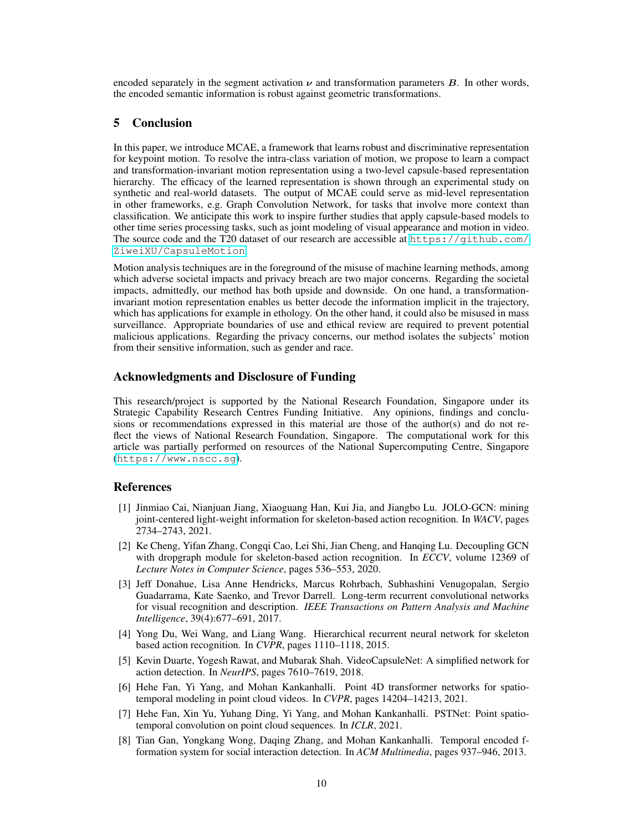encoded separately in the segment activation  $\nu$  and transformation parameters  $B$ . In other words, the encoded semantic information is robust against geometric transformations.

# 5 Conclusion

In this paper, we introduce MCAE, a framework that learns robust and discriminative representation for keypoint motion. To resolve the intra-class variation of motion, we propose to learn a compact and transformation-invariant motion representation using a two-level capsule-based representation hierarchy. The efficacy of the learned representation is shown through an experimental study on synthetic and real-world datasets. The output of MCAE could serve as mid-level representation in other frameworks, e.g. Graph Convolution Network, for tasks that involve more context than classification. We anticipate this work to inspire further studies that apply capsule-based models to other time series processing tasks, such as joint modeling of visual appearance and motion in video. The source code and the T20 dataset of our research are accessible at  $https://github.com/$ [ZiweiXU/CapsuleMotion](https://github.com/ZiweiXU/CapsuleMotion).

Motion analysis techniques are in the foreground of the misuse of machine learning methods, among which adverse societal impacts and privacy breach are two major concerns. Regarding the societal impacts, admittedly, our method has both upside and downside. On one hand, a transformationinvariant motion representation enables us better decode the information implicit in the trajectory, which has applications for example in ethology. On the other hand, it could also be misused in mass surveillance. Appropriate boundaries of use and ethical review are required to prevent potential malicious applications. Regarding the privacy concerns, our method isolates the subjects' motion from their sensitive information, such as gender and race.

## Acknowledgments and Disclosure of Funding

This research/project is supported by the National Research Foundation, Singapore under its Strategic Capability Research Centres Funding Initiative. Any opinions, findings and conclusions or recommendations expressed in this material are those of the author(s) and do not reflect the views of National Research Foundation, Singapore. The computational work for this article was partially performed on resources of the National Supercomputing Centre, Singapore (<https://www.nscc.sg>).

#### References

- <span id="page-9-7"></span>[1] Jinmiao Cai, Nianjuan Jiang, Xiaoguang Han, Kui Jia, and Jiangbo Lu. JOLO-GCN: mining joint-centered light-weight information for skeleton-based action recognition. In *WACV*, pages 2734–2743, 2021.
- <span id="page-9-6"></span>[2] Ke Cheng, Yifan Zhang, Congqi Cao, Lei Shi, Jian Cheng, and Hanqing Lu. Decoupling GCN with dropgraph module for skeleton-based action recognition. In *ECCV*, volume 12369 of *Lecture Notes in Computer Science*, pages 536–553, 2020.
- <span id="page-9-1"></span>[3] Jeff Donahue, Lisa Anne Hendricks, Marcus Rohrbach, Subhashini Venugopalan, Sergio Guadarrama, Kate Saenko, and Trevor Darrell. Long-term recurrent convolutional networks for visual recognition and description. *IEEE Transactions on Pattern Analysis and Machine Intelligence*, 39(4):677–691, 2017.
- <span id="page-9-2"></span>[4] Yong Du, Wei Wang, and Liang Wang. Hierarchical recurrent neural network for skeleton based action recognition. In *CVPR*, pages 1110–1118, 2015.
- <span id="page-9-5"></span>[5] Kevin Duarte, Yogesh Rawat, and Mubarak Shah. VideoCapsuleNet: A simplified network for action detection. In *NeurIPS*, pages 7610–7619, 2018.
- <span id="page-9-3"></span>[6] Hehe Fan, Yi Yang, and Mohan Kankanhalli. Point 4D transformer networks for spatiotemporal modeling in point cloud videos. In *CVPR*, pages 14204–14213, 2021.
- <span id="page-9-4"></span>[7] Hehe Fan, Xin Yu, Yuhang Ding, Yi Yang, and Mohan Kankanhalli. PSTNet: Point spatiotemporal convolution on point cloud sequences. In *ICLR*, 2021.
- <span id="page-9-0"></span>[8] Tian Gan, Yongkang Wong, Daqing Zhang, and Mohan Kankanhalli. Temporal encoded fformation system for social interaction detection. In *ACM Multimedia*, pages 937–946, 2013.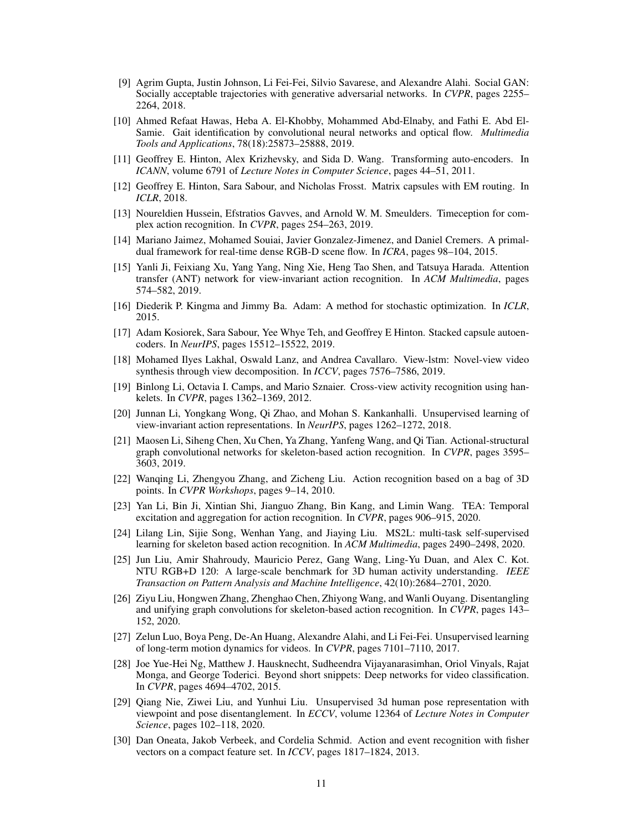- <span id="page-10-1"></span>[9] Agrim Gupta, Justin Johnson, Li Fei-Fei, Silvio Savarese, and Alexandre Alahi. Social GAN: Socially acceptable trajectories with generative adversarial networks. In *CVPR*, pages 2255– 2264, 2018.
- <span id="page-10-0"></span>[10] Ahmed Refaat Hawas, Heba A. El-Khobby, Mohammed Abd-Elnaby, and Fathi E. Abd El-Samie. Gait identification by convolutional neural networks and optical flow. *Multimedia Tools and Applications*, 78(18):25873–25888, 2019.
- <span id="page-10-3"></span>[11] Geoffrey E. Hinton, Alex Krizhevsky, and Sida D. Wang. Transforming auto-encoders. In *ICANN*, volume 6791 of *Lecture Notes in Computer Science*, pages 44–51, 2011.
- <span id="page-10-19"></span>[12] Geoffrey E. Hinton, Sara Sabour, and Nicholas Frosst. Matrix capsules with EM routing. In *ICLR*, 2018.
- <span id="page-10-2"></span>[13] Noureldien Hussein, Efstratios Gavves, and Arnold W. M. Smeulders. Timeception for complex action recognition. In *CVPR*, pages 254–263, 2019.
- <span id="page-10-7"></span>[14] Mariano Jaimez, Mohamed Souiai, Javier Gonzalez-Jimenez, and Daniel Cremers. A primaldual framework for real-time dense RGB-D scene flow. In *ICRA*, pages 98–104, 2015.
- <span id="page-10-16"></span>[15] Yanli Ji, Feixiang Xu, Yang Yang, Ning Xie, Heng Tao Shen, and Tatsuya Harada. Attention transfer (ANT) network for view-invariant action recognition. In *ACM Multimedia*, pages 574–582, 2019.
- <span id="page-10-20"></span>[16] Diederik P. Kingma and Jimmy Ba. Adam: A method for stochastic optimization. In *ICLR*, 2015.
- <span id="page-10-4"></span>[17] Adam Kosiorek, Sara Sabour, Yee Whye Teh, and Geoffrey E Hinton. Stacked capsule autoencoders. In *NeurIPS*, pages 15512–15522, 2019.
- <span id="page-10-17"></span>[18] Mohamed Ilyes Lakhal, Oswald Lanz, and Andrea Cavallaro. View-lstm: Novel-view video synthesis through view decomposition. In *ICCV*, pages 7576–7586, 2019.
- <span id="page-10-15"></span>[19] Binlong Li, Octavia I. Camps, and Mario Sznaier. Cross-view activity recognition using hankelets. In *CVPR*, pages 1362–1369, 2012.
- <span id="page-10-18"></span>[20] Junnan Li, Yongkang Wong, Qi Zhao, and Mohan S. Kankanhalli. Unsupervised learning of view-invariant action representations. In *NeurIPS*, pages 1262–1272, 2018.
- <span id="page-10-10"></span>[21] Maosen Li, Siheng Chen, Xu Chen, Ya Zhang, Yanfeng Wang, and Qi Tian. Actional-structural graph convolutional networks for skeleton-based action recognition. In *CVPR*, pages 3595– 3603, 2019.
- <span id="page-10-8"></span>[22] Wanqing Li, Zhengyou Zhang, and Zicheng Liu. Action recognition based on a bag of 3D points. In *CVPR Workshops*, pages 9–14, 2010.
- <span id="page-10-5"></span>[23] Yan Li, Bin Ji, Xintian Shi, Jianguo Zhang, Bin Kang, and Limin Wang. TEA: Temporal excitation and aggregation for action recognition. In *CVPR*, pages 906–915, 2020.
- <span id="page-10-11"></span>[24] Lilang Lin, Sijie Song, Wenhan Yang, and Jiaying Liu. MS2L: multi-task self-supervised learning for skeleton based action recognition. In *ACM Multimedia*, pages 2490–2498, 2020.
- <span id="page-10-21"></span>[25] Jun Liu, Amir Shahroudy, Mauricio Perez, Gang Wang, Ling-Yu Duan, and Alex C. Kot. NTU RGB+D 120: A large-scale benchmark for 3D human activity understanding. *IEEE Transaction on Pattern Analysis and Machine Intelligence*, 42(10):2684–2701, 2020.
- <span id="page-10-12"></span>[26] Ziyu Liu, Hongwen Zhang, Zhenghao Chen, Zhiyong Wang, and Wanli Ouyang. Disentangling and unifying graph convolutions for skeleton-based action recognition. In *CVPR*, pages 143– 152, 2020.
- <span id="page-10-9"></span>[27] Zelun Luo, Boya Peng, De-An Huang, Alexandre Alahi, and Li Fei-Fei. Unsupervised learning of long-term motion dynamics for videos. In *CVPR*, pages 7101–7110, 2017.
- <span id="page-10-6"></span>[28] Joe Yue-Hei Ng, Matthew J. Hausknecht, Sudheendra Vijayanarasimhan, Oriol Vinyals, Rajat Monga, and George Toderici. Beyond short snippets: Deep networks for video classification. In *CVPR*, pages 4694–4702, 2015.
- <span id="page-10-13"></span>[29] Qiang Nie, Ziwei Liu, and Yunhui Liu. Unsupervised 3d human pose representation with viewpoint and pose disentanglement. In *ECCV*, volume 12364 of *Lecture Notes in Computer Science*, pages 102–118, 2020.
- <span id="page-10-14"></span>[30] Dan Oneata, Jakob Verbeek, and Cordelia Schmid. Action and event recognition with fisher vectors on a compact feature set. In *ICCV*, pages 1817–1824, 2013.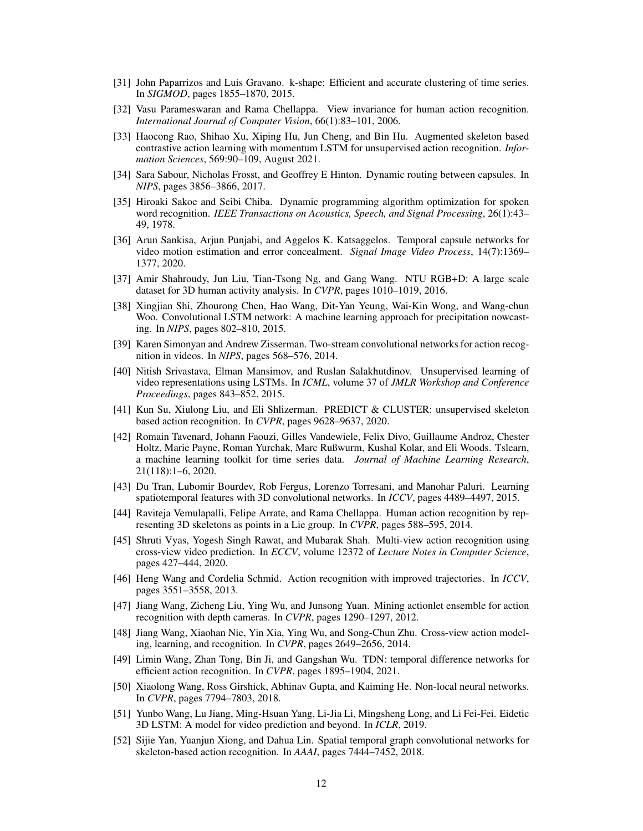- <span id="page-11-19"></span>[31] John Paparrizos and Luis Gravano. k-shape: Efficient and accurate clustering of time series. In *SIGMOD*, pages 1855–1870, 2015.
- <span id="page-11-11"></span>[32] Vasu Parameswaran and Rama Chellappa. View invariance for human action recognition. *International Journal of Computer Vision*, 66(1):83–101, 2006.
- <span id="page-11-6"></span>[33] Haocong Rao, Shihao Xu, Xiping Hu, Jun Cheng, and Bin Hu. Augmented skeleton based contrastive action learning with momentum LSTM for unsupervised action recognition. *Information Sciences*, 569:90–109, August 2021.
- <span id="page-11-17"></span>[34] Sara Sabour, Nicholas Frosst, and Geoffrey E Hinton. Dynamic routing between capsules. In *NIPS*, pages 3856–3866, 2017.
- <span id="page-11-20"></span>[35] Hiroaki Sakoe and Seibi Chiba. Dynamic programming algorithm optimization for spoken word recognition. *IEEE Transactions on Acoustics, Speech, and Signal Processing*, 26(1):43– 49, 1978.
- <span id="page-11-18"></span>[36] Arun Sankisa, Arjun Punjabi, and Aggelos K. Katsaggelos. Temporal capsule networks for video motion estimation and error concealment. *Signal Image Video Process*, 14(7):1369– 1377, 2020.
- <span id="page-11-4"></span>[37] Amir Shahroudy, Jun Liu, Tian-Tsong Ng, and Gang Wang. NTU RGB+D: A large scale dataset for 3D human activity analysis. In *CVPR*, pages 1010–1019, 2016.
- <span id="page-11-0"></span>[38] Xingjian Shi, Zhourong Chen, Hao Wang, Dit-Yan Yeung, Wai-Kin Wong, and Wang-chun Woo. Convolutional LSTM network: A machine learning approach for precipitation nowcasting. In *NIPS*, pages 802–810, 2015.
- <span id="page-11-12"></span>[39] Karen Simonyan and Andrew Zisserman. Two-stream convolutional networks for action recognition in videos. In *NIPS*, pages 568–576, 2014.
- <span id="page-11-13"></span>[40] Nitish Srivastava, Elman Mansimov, and Ruslan Salakhutdinov. Unsupervised learning of video representations using LSTMs. In *ICML*, volume 37 of *JMLR Workshop and Conference Proceedings*, pages 843–852, 2015.
- <span id="page-11-7"></span>[41] Kun Su, Xiulong Liu, and Eli Shlizerman. PREDICT & CLUSTER: unsupervised skeleton based action recognition. In *CVPR*, pages 9628–9637, 2020.
- <span id="page-11-21"></span>[42] Romain Tavenard, Johann Faouzi, Gilles Vandewiele, Felix Divo, Guillaume Androz, Chester Holtz, Marie Payne, Roman Yurchak, Marc Rußwurm, Kushal Kolar, and Eli Woods. Tslearn, a machine learning toolkit for time series data. *Journal of Machine Learning Research*, 21(118):1–6, 2020.
- <span id="page-11-1"></span>[43] Du Tran, Lubomir Bourdev, Rob Fergus, Lorenzo Torresani, and Manohar Paluri. Learning spatiotemporal features with 3D convolutional networks. In *ICCV*, pages 4489–4497, 2015.
- <span id="page-11-10"></span>[44] Raviteja Vemulapalli, Felipe Arrate, and Rama Chellappa. Human action recognition by representing 3D skeletons as points in a Lie group. In *CVPR*, pages 588–595, 2014.
- <span id="page-11-15"></span>[45] Shruti Vyas, Yogesh Singh Rawat, and Mubarak Shah. Multi-view action recognition using cross-view video prediction. In *ECCV*, volume 12372 of *Lecture Notes in Computer Science*, pages 427–444, 2020.
- <span id="page-11-9"></span>[46] Heng Wang and Cordelia Schmid. Action recognition with improved trajectories. In *ICCV*, pages 3551–3558, 2013.
- <span id="page-11-5"></span>[47] Jiang Wang, Zicheng Liu, Ying Wu, and Junsong Yuan. Mining actionlet ensemble for action recognition with depth cameras. In *CVPR*, pages 1290–1297, 2012.
- <span id="page-11-16"></span>[48] Jiang Wang, Xiaohan Nie, Yin Xia, Ying Wu, and Song-Chun Zhu. Cross-view action modeling, learning, and recognition. In *CVPR*, pages 2649–2656, 2014.
- <span id="page-11-3"></span>[49] Limin Wang, Zhan Tong, Bin Ji, and Gangshan Wu. TDN: temporal difference networks for efficient action recognition. In *CVPR*, pages 1895–1904, 2021.
- <span id="page-11-2"></span>[50] Xiaolong Wang, Ross Girshick, Abhinav Gupta, and Kaiming He. Non-local neural networks. In *CVPR*, pages 7794–7803, 2018.
- <span id="page-11-14"></span>[51] Yunbo Wang, Lu Jiang, Ming-Hsuan Yang, Li-Jia Li, Mingsheng Long, and Li Fei-Fei. Eidetic 3D LSTM: A model for video prediction and beyond. In *ICLR*, 2019.
- <span id="page-11-8"></span>[52] Sijie Yan, Yuanjun Xiong, and Dahua Lin. Spatial temporal graph convolutional networks for skeleton-based action recognition. In *AAAI*, pages 7444–7452, 2018.